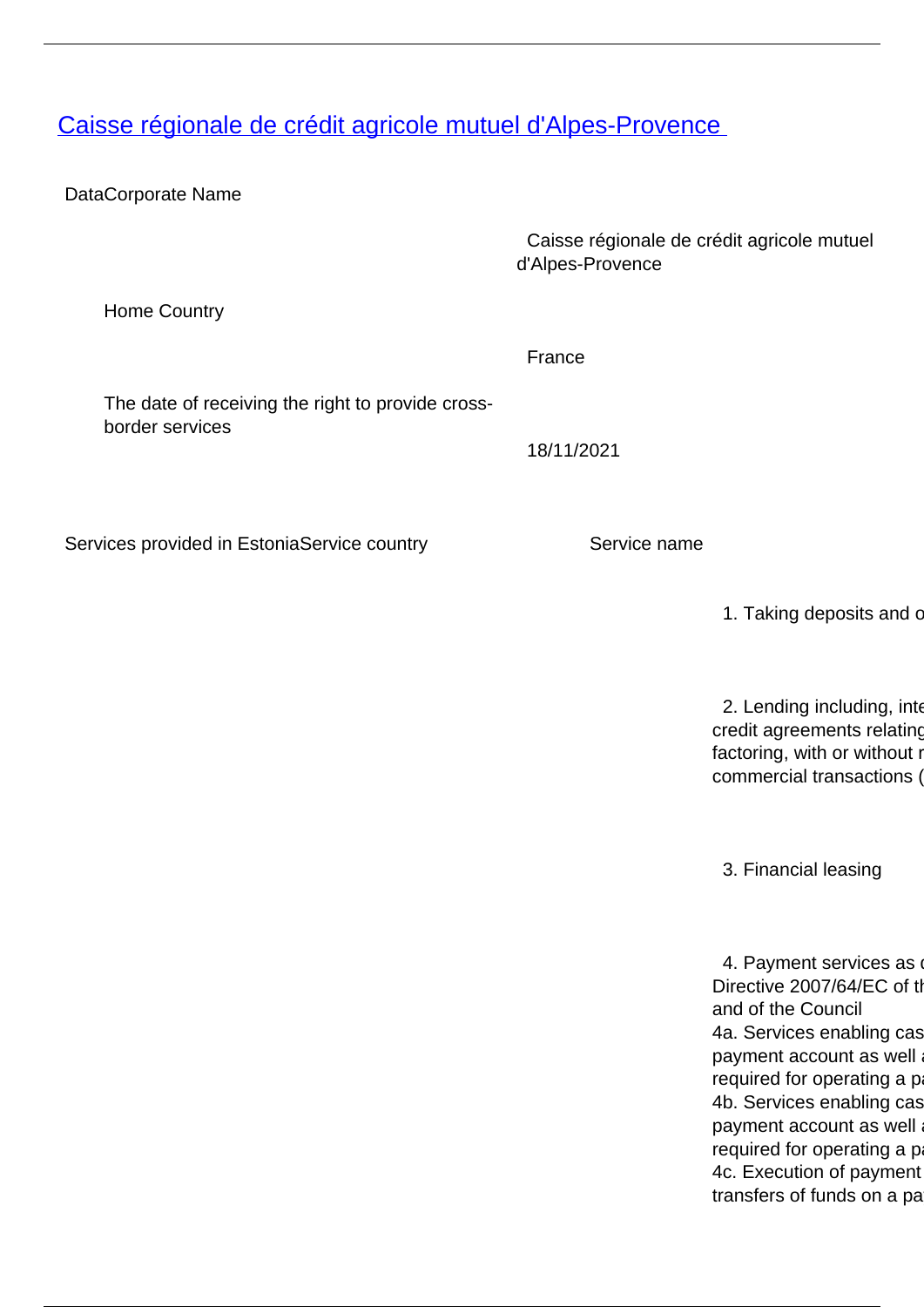## <span id="page-0-0"></span>[Caisse régionale de crédit agricole mutuel d'Alpes-Provence](/en/banking-and-credit/banking-and-credit/credit-institutions/providers-cross-border-banking-services/caisse-regionale-de-credit-agricole-mutuel-dalpes-provence)

DataCorporate Name

 Caisse régionale de crédit agricole mutuel d'Alpes-Provence

Home Country

The date of receiving the right to provide crossborder services

Services provided in EstoniaService country Service name

France

18/11/2021

1. Taking deposits and c

2. Lending including, inter credit agreements relating factoring, with or without r commercial transactions (

3. Financial leasing

4. Payment services as Directive 2007/64/EC of the and of the Council 4a. Services enabling cas payment account as well required for operating a p 4b. Services enabling cas payment account as well required for operating a p 4c. Execution of payment transfers of funds on a pa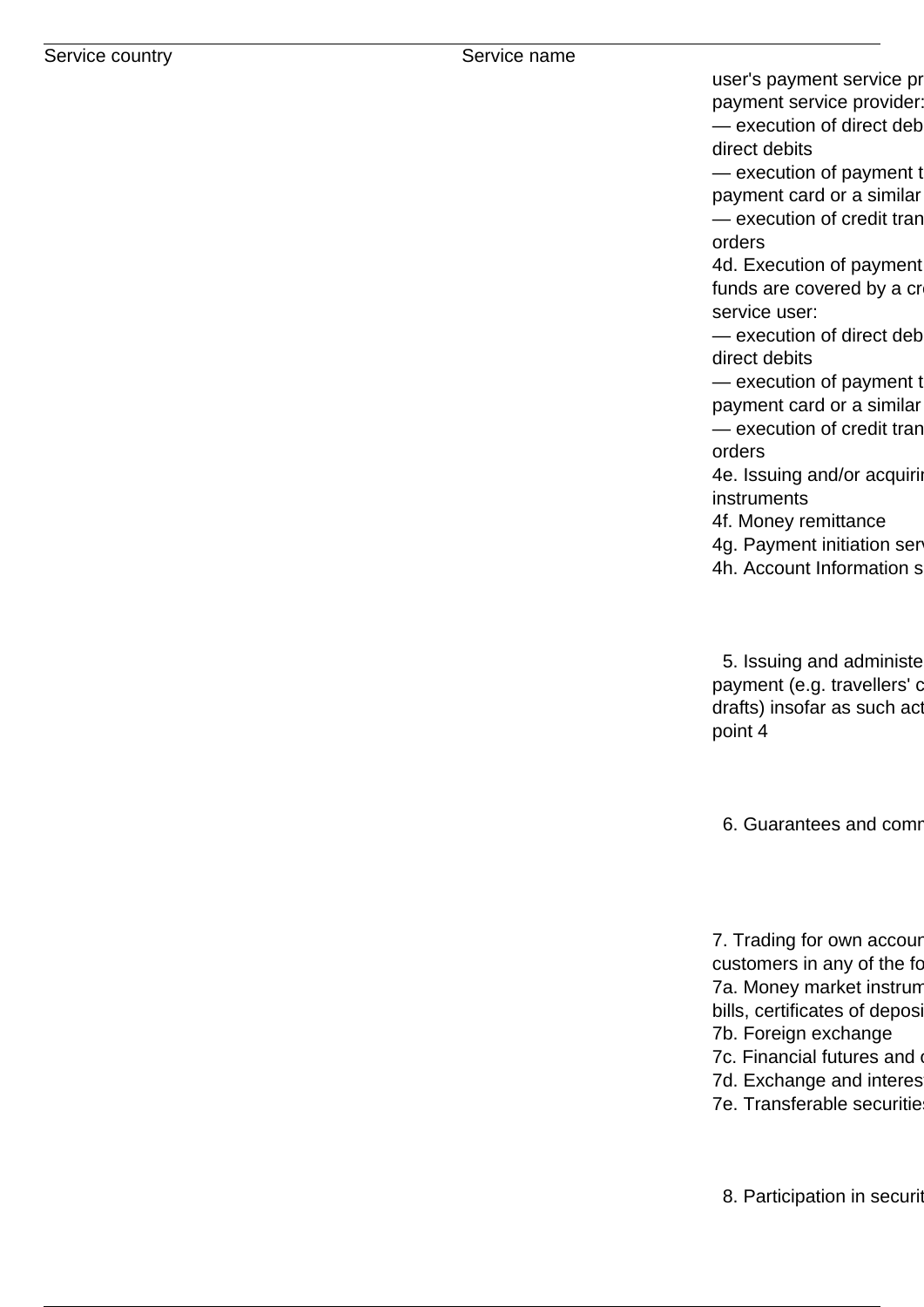user's payment service pr payment service provider:  $-$  execution of direct deb direct debits

— execution of payment t payment card or a similar — execution of credit tran orders

4d. Execution of payment funds are covered by a cr service user:

 $-$  execution of direct deb direct debits

— execution of payment t payment card or a similar — execution of credit tran orders

4e. Issuing and/or acquiring instruments

4f. Money remittance

4g. Payment initiation ser

4h. Account Information s

5. Issuing and administe payment (e.g. travellers' c drafts) insofar as such act point 4

6. Guarantees and comm

7. Trading for own account customers in any of the fo 7a. Money market instrum bills, certificates of deposi 7b. Foreign exchange 7c. Financial futures and 7d. Exchange and interes 7e. Transferable securitie

8. Participation in securit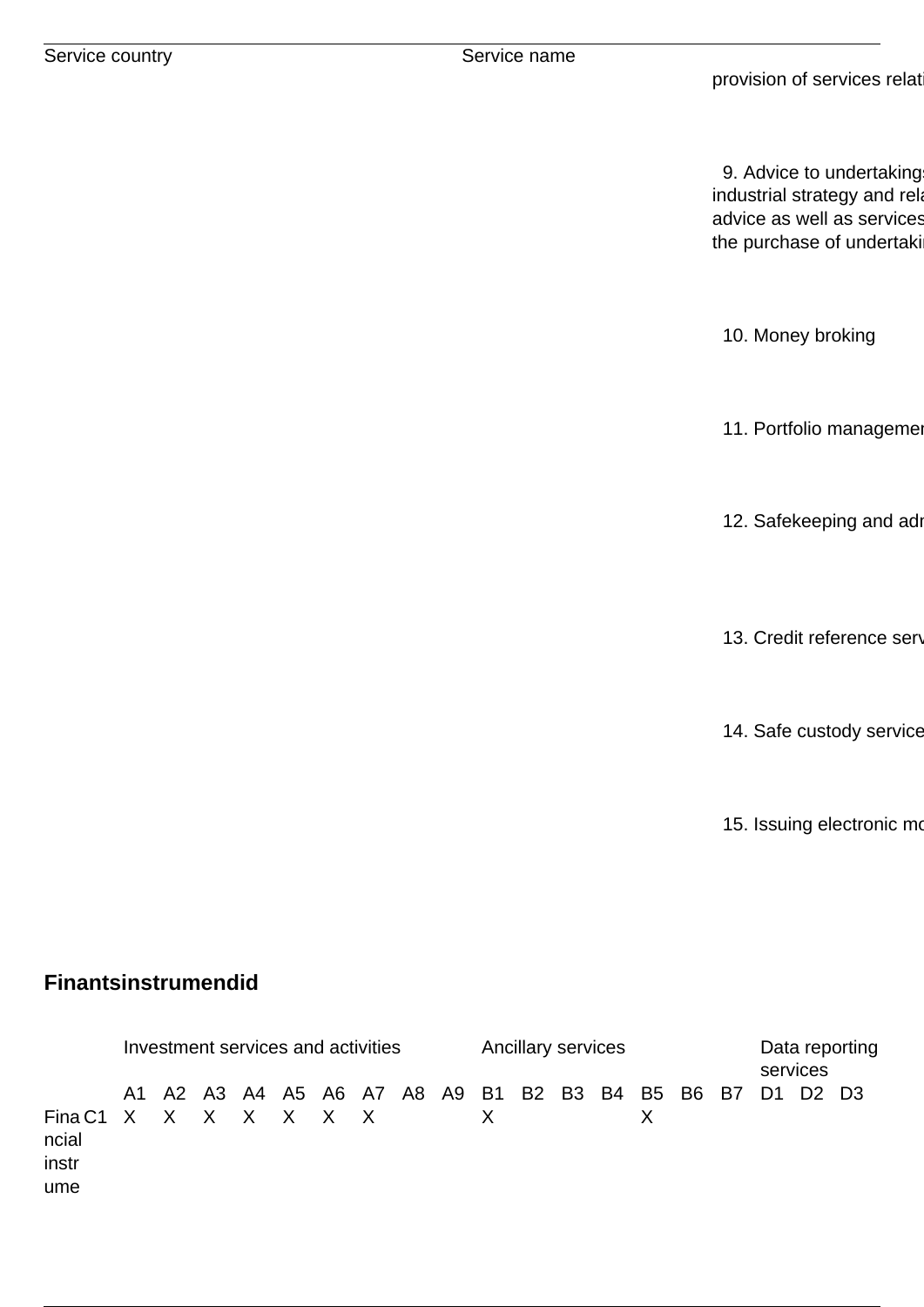9. Advice to undertaking industrial strategy and related advice as well as services the purchase of undertaki

10. Money broking

11. Portfolio manageme

12. Safekeeping and ad

13. Credit reference serv

14. Safe custody service

15. Issuing electronic mo

## **Finantsinstrumendid**

|                                                | Investment services and activities |  |  |  |  |                                                          |  |  |  |              | Ancillary services |  |  |  |  |  | Data reporting<br>services |  |  |
|------------------------------------------------|------------------------------------|--|--|--|--|----------------------------------------------------------|--|--|--|--------------|--------------------|--|--|--|--|--|----------------------------|--|--|
| Fina C1 X X X X X X X<br>ncial<br>instr<br>ume |                                    |  |  |  |  | A1 A2 A3 A4 A5 A6 A7 A8 A9 B1 B2 B3 B4 B5 B6 B7 D1 D2 D3 |  |  |  | $\mathsf{X}$ |                    |  |  |  |  |  |                            |  |  |